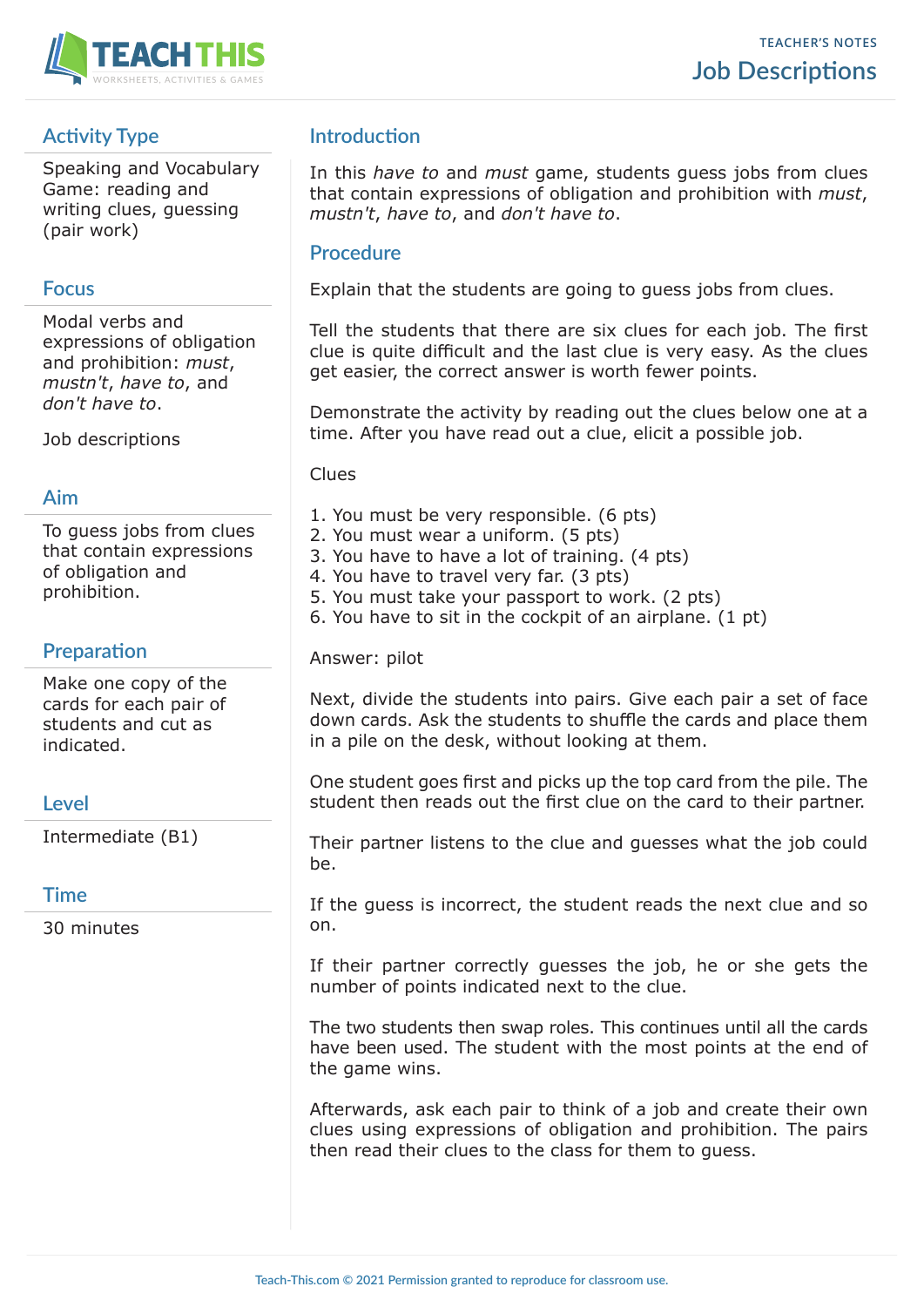

# **Activity Type**

Speaking and Vocabulary Game: reading and writing clues, guessing (pair work)

## **Focus**

Modal verbs and expressions of obligation and prohibition: *must*, *mustn't*, *have to*, and *don't have to*.

Job descriptions

### **Aim**

To guess jobs from clues that contain expressions of obligation and prohibition.

## **Preparation**

Make one copy of the cards for each pair of students and cut as indicated.

## **Level**

Intermediate (B1)

## **Time**

30 minutes

# **Introduction**

In this *have to* and *must* game, students guess jobs from clues that contain expressions of obligation and prohibition with *must*, *mustn't*, *have to*, and *don't have to*.

## **Procedure**

Explain that the students are going to guess jobs from clues.

Tell the students that there are six clues for each job. The first clue is quite difficult and the last clue is very easy. As the clues get easier, the correct answer is worth fewer points.

Demonstrate the activity by reading out the clues below one at a time. After you have read out a clue, elicit a possible job.

Clues

- 1. You must be very responsible. (6 pts)
- 2. You must wear a uniform. (5 pts)
- 3. You have to have a lot of training. (4 pts)
- 4. You have to travel very far. (3 pts)
- 5. You must take your passport to work. (2 pts)
- 6. You have to sit in the cockpit of an airplane. (1 pt)

Answer: pilot

Next, divide the students into pairs. Give each pair a set of face down cards. Ask the students to shuffle the cards and place them in a pile on the desk, without looking at them.

One student goes first and picks up the top card from the pile. The student then reads out the first clue on the card to their partner.

Their partner listens to the clue and guesses what the job could be.

If the guess is incorrect, the student reads the next clue and so on.

If their partner correctly guesses the job, he or she gets the number of points indicated next to the clue.

The two students then swap roles. This continues until all the cards have been used. The student with the most points at the end of the game wins.

Afterwards, ask each pair to think of a job and create their own clues using expressions of obligation and prohibition. The pairs then read their clues to the class for them to guess.